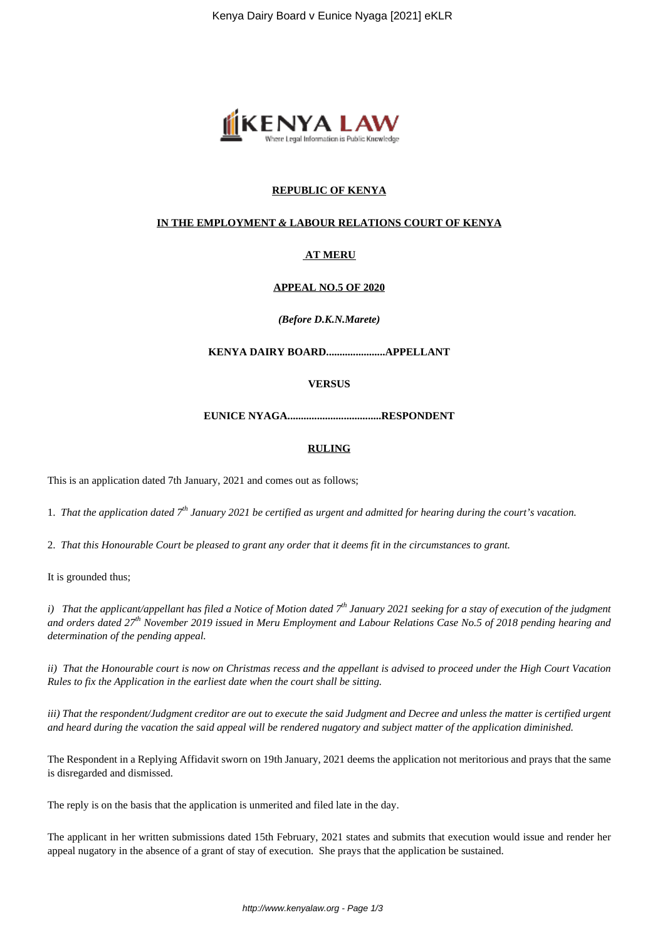

## **REPUBLIC OF KENYA**

## **IN THE EMPLOYMENT** *&* **LABOUR RELATIONS COURT OF KENYA**

## **AT MERU**

## **APPEAL NO.5 OF 2020**

### *(Before D.K.N.Marete)*

**KENYA DAIRY BOARD......................APPELLANT**

### **VERSUS**

**EUNICE NYAGA...................................RESPONDENT**

### **RULING**

This is an application dated 7th January, 2021 and comes out as follows;

1. *That the application dated 7th January 2021 be certified as urgent and admitted for hearing during the court's vacation.*

2. *That this Honourable Court be pleased to grant any order that it deems fit in the circumstances to grant.*

It is grounded thus;

*i) That the applicant/appellant has filed a Notice of Motion dated 7th January 2021 seeking for a stay of execution of the judgment and orders dated 27th November 2019 issued in Meru Employment and Labour Relations Case No.5 of 2018 pending hearing and determination of the pending appeal.*

*ii) That the Honourable court is now on Christmas recess and the appellant is advised to proceed under the High Court Vacation Rules to fix the Application in the earliest date when the court shall be sitting.*

*iii) That the respondent/Judgment creditor are out to execute the said Judgment and Decree and unless the matter is certified urgent and heard during the vacation the said appeal will be rendered nugatory and subject matter of the application diminished.*

The Respondent in a Replying Affidavit sworn on 19th January, 2021 deems the application not meritorious and prays that the same is disregarded and dismissed.

The reply is on the basis that the application is unmerited and filed late in the day.

The applicant in her written submissions dated 15th February, 2021 states and submits that execution would issue and render her appeal nugatory in the absence of a grant of stay of execution. She prays that the application be sustained.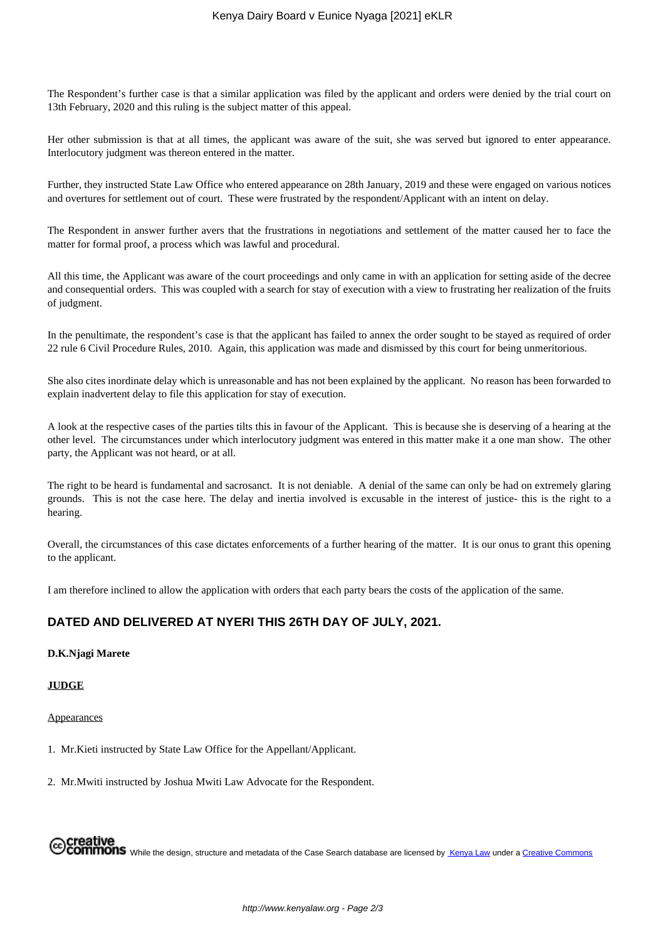The Respondent's further case is that a similar application was filed by the applicant and orders were denied by the trial court on 13th February, 2020 and this ruling is the subject matter of this appeal.

Her other submission is that at all times, the applicant was aware of the suit, she was served but ignored to enter appearance. Interlocutory judgment was thereon entered in the matter.

Further, they instructed State Law Office who entered appearance on 28th January, 2019 and these were engaged on various notices and overtures for settlement out of court. These were frustrated by the respondent/Applicant with an intent on delay.

The Respondent in answer further avers that the frustrations in negotiations and settlement of the matter caused her to face the matter for formal proof, a process which was lawful and procedural.

All this time, the Applicant was aware of the court proceedings and only came in with an application for setting aside of the decree and consequential orders. This was coupled with a search for stay of execution with a view to frustrating her realization of the fruits of judgment.

In the penultimate, the respondent's case is that the applicant has failed to annex the order sought to be stayed as required of order 22 rule 6 Civil Procedure Rules, 2010. Again, this application was made and dismissed by this court for being unmeritorious.

She also cites inordinate delay which is unreasonable and has not been explained by the applicant. No reason has been forwarded to explain inadvertent delay to file this application for stay of execution.

A look at the respective cases of the parties tilts this in favour of the Applicant. This is because she is deserving of a hearing at the other level. The circumstances under which interlocutory judgment was entered in this matter make it a one man show. The other party, the Applicant was not heard, or at all.

The right to be heard is fundamental and sacrosanct. It is not deniable. A denial of the same can only be had on extremely glaring grounds. This is not the case here. The delay and inertia involved is excusable in the interest of justice- this is the right to a hearing.

Overall, the circumstances of this case dictates enforcements of a further hearing of the matter. It is our onus to grant this opening to the applicant.

I am therefore inclined to allow the application with orders that each party bears the costs of the application of the same.

# **DATED AND DELIVERED AT NYERI THIS 26TH DAY OF JULY, 2021.**

## **D.K.Njagi Marete**

#### **JUDGE**

### Appearances

1. Mr.Kieti instructed by State Law Office for the Appellant/Applicant.

2. Mr.Mwiti instructed by Joshua Mwiti Law Advocate for the Respondent.

**MONS** While the design, structure and metadata of the Case Search database are licensed by Kenya Law under a Creative Commons